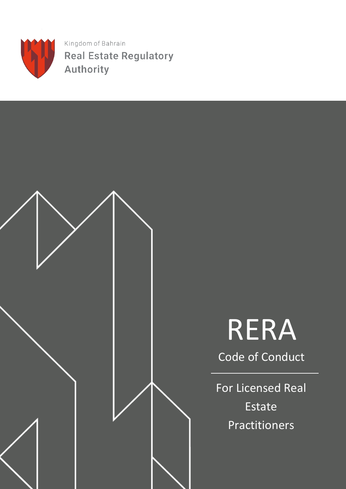

Kingdom of Bahrain **Real Estate Regulatory Authority** 

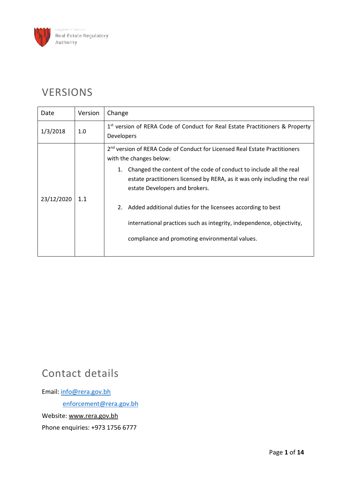

### VERSIONS

| Date       | Version | Change                                                                                                                                                                                                                                                                                                                                                                                                                                                                                                      |
|------------|---------|-------------------------------------------------------------------------------------------------------------------------------------------------------------------------------------------------------------------------------------------------------------------------------------------------------------------------------------------------------------------------------------------------------------------------------------------------------------------------------------------------------------|
| 1/3/2018   | 1.0     | 1st version of RERA Code of Conduct for Real Estate Practitioners & Property<br><b>Developers</b>                                                                                                                                                                                                                                                                                                                                                                                                           |
| 23/12/2020 | 1.1     | 2 <sup>nd</sup> version of RERA Code of Conduct for Licensed Real Estate Practitioners<br>with the changes below:<br>Changed the content of the code of conduct to include all the real<br>1.<br>estate practitioners licensed by RERA, as it was only including the real<br>estate Developers and brokers.<br>Added additional duties for the licensees according to best<br>2.<br>international practices such as integrity, independence, objectivity,<br>compliance and promoting environmental values. |
|            |         |                                                                                                                                                                                                                                                                                                                                                                                                                                                                                                             |

### Contact details

Email: [info@rera.gov.bh](mailto:info@rera.gov.bh) enforcement@rera.gov.bh Website: [www.rera.gov.bh](http://www.rera.gov.bh/) Phone enquiries: +973 1756 6777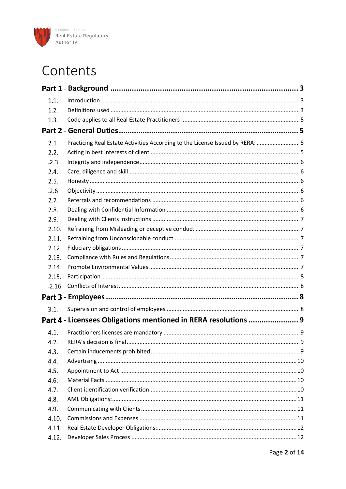

### Contents

| 1.1.  |                                                                              |     |
|-------|------------------------------------------------------------------------------|-----|
| 1.2.  |                                                                              |     |
| 1.3.  |                                                                              |     |
|       |                                                                              |     |
| 2.1.  | Practicing Real Estate Activities According to the License Issued by RERA: 5 |     |
| 2.2.  |                                                                              |     |
| .2.3  |                                                                              |     |
| 2.4.  |                                                                              |     |
| 2.5.  |                                                                              |     |
| .2.6  |                                                                              |     |
| 2.7.  |                                                                              |     |
| 2.8.  |                                                                              |     |
| 2.9.  |                                                                              |     |
| 2.10. |                                                                              |     |
| 2.11. |                                                                              |     |
| 2.12. |                                                                              |     |
| 2.13. |                                                                              |     |
| 2.14. |                                                                              |     |
| 2.15. |                                                                              |     |
| .2.16 |                                                                              |     |
|       |                                                                              |     |
| 3.1.  |                                                                              |     |
|       | Part 4 - Licensees Obligations mentioned in RERA resolutions  9              |     |
| 4.1.  |                                                                              |     |
| 4.2.  |                                                                              | . 9 |
| 4.3.  |                                                                              |     |
| 4.4.  |                                                                              |     |
| 4.5.  |                                                                              |     |
| 4.6.  |                                                                              |     |
| 4.7.  |                                                                              |     |
| 4.8.  |                                                                              |     |
| 4.9.  |                                                                              |     |
| 4.10. |                                                                              |     |
| 4.11. |                                                                              |     |
| 4.12. |                                                                              |     |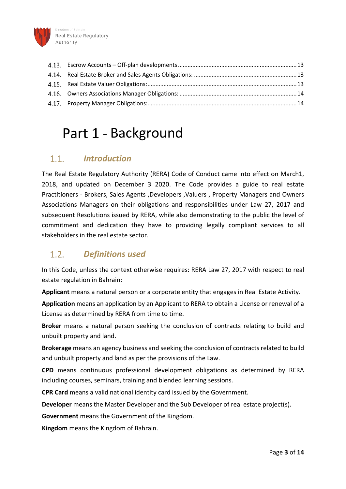

### <span id="page-3-0"></span>Part 1 - Background

### <span id="page-3-1"></span>*Introduction*  $1.1.$

The Real Estate Regulatory Authority (RERA) Code of Conduct came into effect on March1, 2018, and updated on December 3 2020. The Code provides a guide to real estate Practitioners - Brokers, Sales Agents ,Developers ,Valuers , Property Managers and Owners Associations Managers on their obligations and responsibilities under Law 27, 2017 and subsequent Resolutions issued by RERA, while also demonstrating to the public the level of commitment and dedication they have to providing legally compliant services to all stakeholders in the real estate sector.

### <span id="page-3-2"></span> $1.2<sub>1</sub>$ *Definitions used*

In this Code, unless the context otherwise requires: RERA Law 27, 2017 with respect to real estate regulation in Bahrain:

**Applicant** means a natural person or a corporate entity that engages in Real Estate Activity.

**Application** means an application by an Applicant to RERA to obtain a License or renewal of a License as determined by RERA from time to time.

**Broker** means a natural person seeking the conclusion of contracts relating to build and unbuilt property and land.

**Brokerage** means an agency business and seeking the conclusion of contracts related to build and unbuilt property and land as per the provisions of the Law.

**CPD** means continuous professional development obligations as determined by RERA including courses, seminars, training and blended learning sessions.

**CPR Card** means a valid national identity card issued by the Government.

**Developer** means the Master Developer and the Sub Developer of real estate project(s).

**Government** means the Government of the Kingdom.

**Kingdom** means the Kingdom of Bahrain.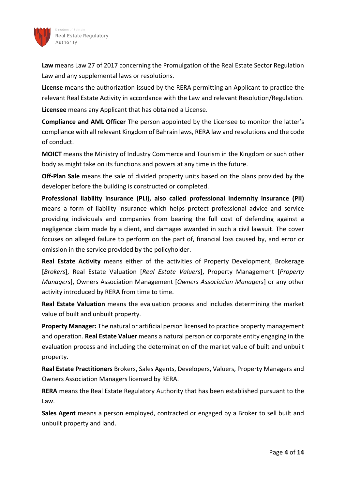

ngdom of Bahrain Real Estate Regulatory Authority

**Law** means Law 27 of 2017 concerning the Promulgation of the Real Estate Sector Regulation Law and any supplemental laws or resolutions.

**License** means the authorization issued by the RERA permitting an Applicant to practice the relevant Real Estate Activity in accordance with the Law and relevant Resolution/Regulation. **Licensee** means any Applicant that has obtained a License.

**Compliance and AML Officer** The person appointed by the Licensee to monitor the latter's compliance with all relevant Kingdom of Bahrain laws, RERA law and resolutions and the code of conduct.

**MOICT** means the Ministry of Industry Commerce and Tourism in the Kingdom or such other body as might take on its functions and powers at any time in the future.

**Off-Plan Sale** means the sale of divided property units based on the plans provided by the developer before the building is constructed or completed.

**Professional liability insurance (PLI), also called professional indemnity insurance (PII)** means a form of liability insurance which helps protect professional advice and service providing individuals and companies from bearing the full cost of defending against a negligence claim made by a client, and damages awarded in such a civil lawsuit. The cover focuses on alleged failure to perform on the part of, financial loss caused by, and error or omission in the service provided by the policyholder.

**Real Estate Activity** means either of the activities of Property Development, Brokerage [*Brokers*], Real Estate Valuation [*Real Estate Valuers*], Property Management [*Property Managers*], Owners Association Management [*Owners Association Managers*] or any other activity introduced by RERA from time to time.

**Real Estate Valuation** means the evaluation process and includes determining the market value of built and unbuilt property.

**Property Manager:** The natural or artificial person licensed to practice property management and operation. **Real Estate Valuer** means a natural person or corporate entity engaging in the evaluation process and including the determination of the market value of built and unbuilt property.

**Real Estate Practitioners** Brokers, Sales Agents, Developers, Valuers, Property Managers and Owners Association Managers licensed by RERA.

**RERA** means the Real Estate Regulatory Authority that has been established pursuant to the Law.

**Sales Agent** means a person employed, contracted or engaged by a Broker to sell built and unbuilt property and land.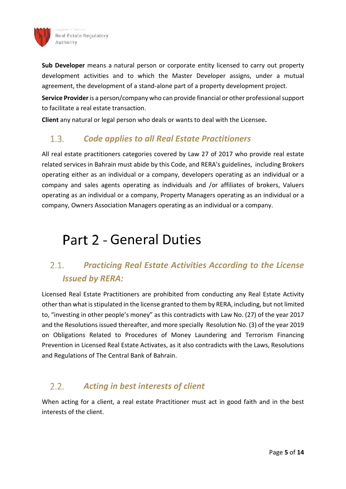

**Sub Developer** means a natural person or corporate entity licensed to carry out property development activities and to which the Master Developer assigns, under a mutual agreement, the development of a stand-alone part of a property development project.

**Service Provider**is a person/company who can provide financial or other professional support to facilitate a real estate transaction.

**Client** any natural or legal person who deals or wants to deal with the Licensee**.** 

### <span id="page-5-0"></span> $1.3.$ *Code applies to all Real Estate Practitioners*

All real estate practitioners categories covered by Law 27 of 2017 who provide real estate related services in Bahrain must abide by this Code, and RERA's guidelines, including Brokers operating either as an individual or a company, developers operating as an individual or a company and sales agents operating as individuals and /or affiliates of brokers, Valuers operating as an individual or a company, Property Managers operating as an individual or a company, Owners Association Managers operating as an individual or a company.

## <span id="page-5-1"></span>Part 2 - General Duties

### <span id="page-5-2"></span> $2.1.$ *Practicing Real Estate Activities According to the License Issued by RERA:*

Licensed Real Estate Practitioners are prohibited from conducting any Real Estate Activity other than what is stipulated in the license granted to them by RERA, including, but not limited to, "investing in other people's money" as this contradicts with Law No. (27) of the year 2017 and the Resolutions issued thereafter, and more specially Resolution No. (3) of the year 2019 on Obligations Related to Procedures of Money Laundering and Terrorism Financing Prevention in Licensed Real Estate Activates, as it also contradicts with the Laws, Resolutions and Regulations of The Central Bank of Bahrain.

### <span id="page-5-3"></span>*Acting in best interests of client*  $2.2.$

When acting for a client, a real estate Practitioner must act in good faith and in the best interests of the client.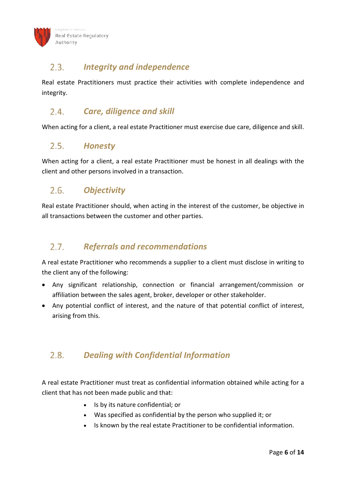### <span id="page-6-0"></span> $2.3.$ *Integrity and independence*

Real estate Practitioners must practice their activities with complete independence and integrity.

### <span id="page-6-1"></span> $2.4.$ *Care, diligence and skill*

When acting for a client, a real estate Practitioner must exercise due care, diligence and skill.

#### <span id="page-6-2"></span> $2.5.$ *Honesty*

When acting for a client, a real estate Practitioner must be honest in all dealings with the client and other persons involved in a transaction.

### <span id="page-6-3"></span> $2.6.$ *Objectivity*

Real estate Practitioner should, when acting in the interest of the customer, be objective in all transactions between the customer and other parties.

### <span id="page-6-4"></span>*Referrals and recommendations*   $2.7.$

A real estate Practitioner who recommends a supplier to a client must disclose in writing to the client any of the following:

- Any significant relationship, connection or financial arrangement/commission or affiliation between the sales agent, broker, developer or other stakeholder.
- Any potential conflict of interest, and the nature of that potential conflict of interest, arising from this.

### <span id="page-6-5"></span> $2.8.$ *Dealing with Confidential Information*

A real estate Practitioner must treat as confidential information obtained while acting for a client that has not been made public and that:

- Is by its nature confidential; or
- Was specified as confidential by the person who supplied it; or
- Is known by the real estate Practitioner to be confidential information.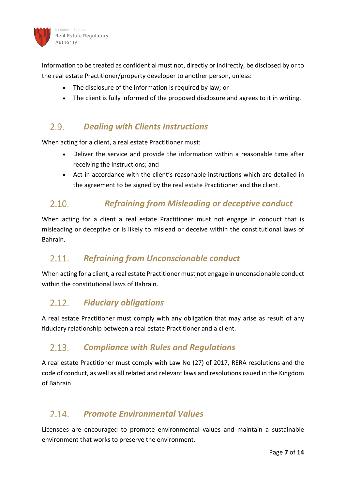

Information to be treated as confidential must not, directly or indirectly, be disclosed by or to the real estate Practitioner/property developer to another person, unless:

- The disclosure of the information is required by law; or
- The client is fully informed of the proposed disclosure and agrees to it in writing.

### <span id="page-7-0"></span> $2.9.$ *Dealing with Clients Instructions*

When acting for a client, a real estate Practitioner must:

- Deliver the service and provide the information within a reasonable time after receiving the instructions; and
- <span id="page-7-1"></span>Act in accordance with the client's reasonable instructions which are detailed in the agreement to be signed by the real estate Practitioner and the client.

### *Refraining from Misleading or deceptive conduct*   $2.10.$

When acting for a client a real estate Practitioner must not engage in conduct that is misleading or deceptive or is likely to mislead or deceive within the constitutional laws of Bahrain.

### <span id="page-7-2"></span> $2.11.$ *Refraining from Unconscionable conduct*

When acting for a client, a real estate Practitioner must not engage in unconscionable conduct within the constitutional laws of Bahrain.

### <span id="page-7-3"></span> $2.12.$ *Fiduciary obligations*

A real estate Practitioner must comply with any obligation that may arise as result of any fiduciary relationship between a real estate Practitioner and a client.

#### <span id="page-7-4"></span> $213$ *Compliance with Rules and Regulations*

A real estate Practitioner must comply with Law No (27) of 2017, RERA resolutions and the code of conduct, as well as all related and relevant laws and resolutions issued in the Kingdom of Bahrain.

#### <span id="page-7-5"></span>*Promote Environmental Values*   $2.14.$

Licensees are encouraged to promote environmental values and maintain a sustainable environment that works to preserve the environment.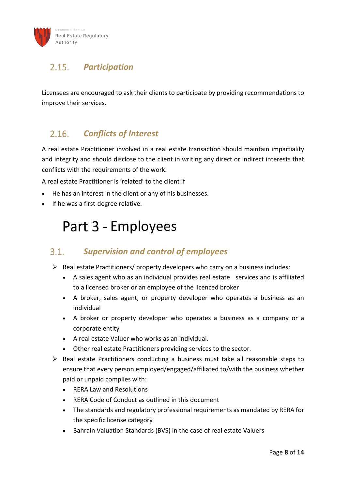### <span id="page-8-0"></span> $2.15.$ *Participation*

Licensees are encouraged to ask their clients to participate by providing recommendations to improve their services.

### <span id="page-8-1"></span>*Conflicts of Interest*   $2.16.$

A real estate Practitioner involved in a real estate transaction should maintain impartiality and integrity and should disclose to the client in writing any direct or indirect interests that conflicts with the requirements of the work.

A real estate Practitioner is 'related' to the client if

- He has an interest in the client or any of his businesses.
- <span id="page-8-2"></span>• If he was a first-degree relative.

## Part 3 - Employees

### <span id="page-8-3"></span>*Supervision and control of employees*   $3.1$

- $\triangleright$  Real estate Practitioners/ property developers who carry on a business includes:
	- A sales agent who as an individual provides real estate services and is affiliated to a licensed broker or an employee of the licenced broker
	- A broker, sales agent, or property developer who operates a business as an individual
	- A broker or property developer who operates a business as a company or a corporate entity
	- A real estate Valuer who works as an individual.
	- Other real estate Practitioners providing services to the sector.
- $\triangleright$  Real estate Practitioners conducting a business must take all reasonable steps to ensure that every person employed/engaged/affiliated to/with the business whether paid or unpaid complies with:
	- RERA Law and Resolutions
	- RERA Code of Conduct as outlined in this document
	- The standards and regulatory professional requirements as mandated by RERA for the specific license category
	- Bahrain Valuation Standards (BVS) in the case of real estate Valuers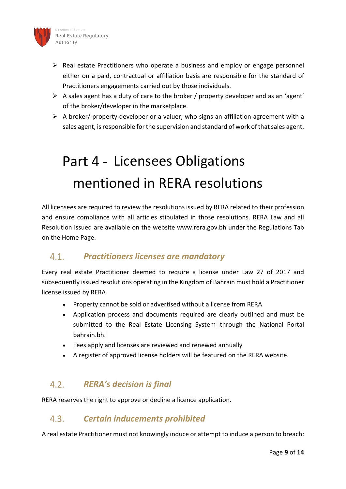

- $\triangleright$  Real estate Practitioners who operate a business and employ or engage personnel either on a paid, contractual or affiliation basis are responsible for the standard of Practitioners engagements carried out by those individuals.
- $\triangleright$  A sales agent has a duty of care to the broker / property developer and as an 'agent' of the broker/developer in the marketplace.
- $\triangleright$  A broker/ property developer or a valuer, who signs an affiliation agreement with a sales agent, is responsible for the supervision and standard of work of that sales agent.

# <span id="page-9-0"></span>Part 4 - Licensees Obligations mentioned in RERA resolutions

All licensees are required to review the resolutions issued by RERA related to their profession and ensure compliance with all articles stipulated in those resolutions. RERA Law and all Resolution issued are available on the website www.rera.gov.bh under the Regulations Tab on the Home Page.

### <span id="page-9-1"></span> $4.1.$ *Practitioners licenses are mandatory*

Every real estate Practitioner deemed to require a license under Law 27 of 2017 and subsequently issued resolutions operating in the Kingdom of Bahrain must hold a Practitioner license issued by RERA

- Property cannot be sold or advertised without a license from RERA
- Application process and documents required are clearly outlined and must be submitted to the Real Estate Licensing System through the National Portal bahrain.bh.
- Fees apply and licenses are reviewed and renewed annually
- A register of approved license holders will be featured on the RERA website.

### <span id="page-9-2"></span> $4.2.$ *RERA's decision is final*

RERA reserves the right to approve or decline a licence application.

### <span id="page-9-3"></span> $4.3.$ *Certain inducements prohibited*

A real estate Practitioner must not knowingly induce or attempt to induce a person to breach: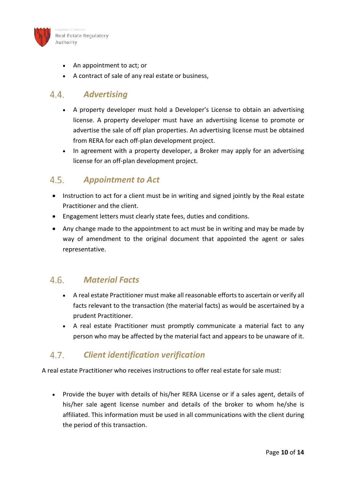

- An appointment to act; or
- A contract of sale of any real estate or business,

### <span id="page-10-0"></span> $4.4$ *Advertising*

- A property developer must hold a Developer's License to obtain an advertising license. A property developer must have an advertising license to promote or advertise the sale of off plan properties. An advertising license must be obtained from RERA for each off-plan development project.
- In agreement with a property developer, a Broker may apply for an advertising license for an off-plan development project.

### <span id="page-10-1"></span> $4.5.$ *Appointment to Act*

- Instruction to act for a client must be in writing and signed jointly by the Real estate Practitioner and the client.
- Engagement letters must clearly state fees, duties and conditions.
- Any change made to the appointment to act must be in writing and may be made by way of amendment to the original document that appointed the agent or sales representative.

### <span id="page-10-2"></span> $4.6.$ *Material Facts*

- A real estate Practitioner must make all reasonable efforts to ascertain or verify all facts relevant to the transaction (the material facts) as would be ascertained by a prudent Practitioner.
- A real estate Practitioner must promptly communicate a material fact to any person who may be affected by the material fact and appears to be unaware of it.

### <span id="page-10-3"></span> $4.7.$ *Client identification verification*

A real estate Practitioner who receives instructions to offer real estate for sale must:

• Provide the buyer with details of his/her RERA License or if a sales agent, details of his/her sale agent license number and details of the broker to whom he/she is affiliated. This information must be used in all communications with the client during the period of this transaction.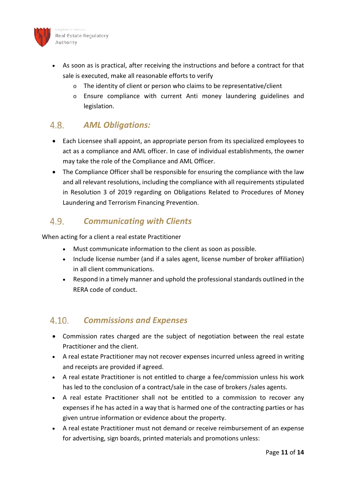

- As soon as is practical, after receiving the instructions and before a contract for that sale is executed, make all reasonable efforts to verify
	- o The identity of client or person who claims to be representative/client
	- $\circ$  Ensure compliance with current Anti money laundering guidelines and legislation.

### <span id="page-11-0"></span> $4.8.$ *AML Obligations:*

- Each Licensee shall appoint, an appropriate person from its specialized employees to act as a compliance and AML officer. In case of individual establishments, the owner may take the role of the Compliance and AML Officer.
- The Compliance Officer shall be responsible for ensuring the compliance with the law and all relevant resolutions, including the compliance with all requirements stipulated in Resolution 3 of 2019 regarding on Obligations Related to Procedures of Money Laundering and Terrorism Financing Prevention.

### <span id="page-11-1"></span> $4.9.$ *Communicating with Clients*

When acting for a client a real estate Practitioner

- Must communicate information to the client as soon as possible.
- Include license number (and if a sales agent, license number of broker affiliation) in all client communications.
- Respond in a timely manner and uphold the professional standards outlined in the RERA code of conduct.

### <span id="page-11-2"></span>*Commissions and Expenses*   $4.10.$

- Commission rates charged are the subject of negotiation between the real estate Practitioner and the client.
- A real estate Practitioner may not recover expenses incurred unless agreed in writing and receipts are provided if agreed.
- A real estate Practitioner is not entitled to charge a fee/commission unless his work has led to the conclusion of a contract/sale in the case of brokers /sales agents.
- A real estate Practitioner shall not be entitled to a commission to recover any expenses if he has acted in a way that is harmed one of the contracting parties or has given untrue information or evidence about the property.
- A real estate Practitioner must not demand or receive reimbursement of an expense for advertising, sign boards, printed materials and promotions unless: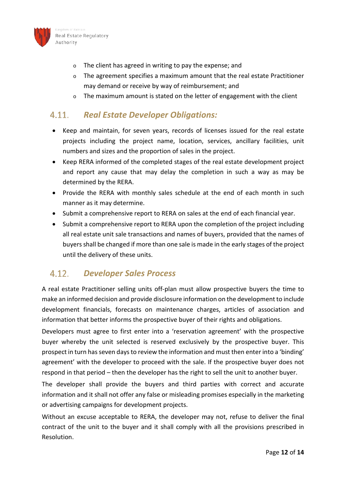

ngdom of Bahrain Real Estate Regulatory Authority

- o The client has agreed in writing to pay the expense; and
- $\circ$  The agreement specifies a maximum amount that the real estate Practitioner may demand or receive by way of reimbursement; and
- $\circ$  The maximum amount is stated on the letter of engagement with the client

### <span id="page-12-0"></span> $4.11.$ *Real Estate Developer Obligations:*

- Keep and maintain, for seven years, records of licenses issued for the real estate projects including the project name, location, services, ancillary facilities, unit numbers and sizes and the proportion of sales in the project.
- Keep RERA informed of the completed stages of the real estate development project and report any cause that may delay the completion in such a way as may be determined by the RERA.
- Provide the RERA with monthly sales schedule at the end of each month in such manner as it may determine.
- Submit a comprehensive report to RERA on sales at the end of each financial year.
- Submit a comprehensive report to RERA upon the completion of the project including all real estate unit sale transactions and names of buyers, provided that the names of buyers shall be changed if more than one sale is made in the early stages of the project until the delivery of these units.

### <span id="page-12-1"></span> $4.12.$ *Developer Sales Process*

A real estate Practitioner selling units off-plan must allow prospective buyers the time to make an informed decision and provide disclosure information on the development to include development financials, forecasts on maintenance charges, articles of association and information that better informs the prospective buyer of their rights and obligations.

Developers must agree to first enter into a 'reservation agreement' with the prospective buyer whereby the unit selected is reserved exclusively by the prospective buyer. This prospect in turn has seven days to review the information and must then enter into a 'binding' agreement' with the developer to proceed with the sale. If the prospective buyer does not respond in that period – then the developer has the right to sell the unit to another buyer.

The developer shall provide the buyers and third parties with correct and accurate information and it shall not offer any false or misleading promises especially in the marketing or advertising campaigns for development projects.

Without an excuse acceptable to RERA, the developer may not, refuse to deliver the final contract of the unit to the buyer and it shall comply with all the provisions prescribed in Resolution.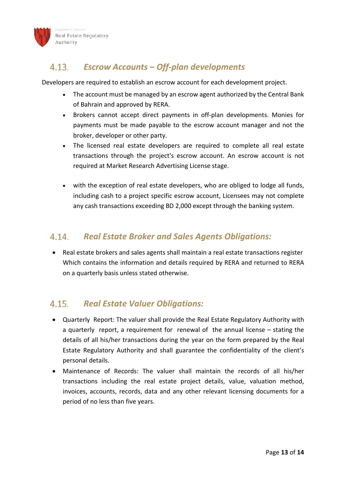

### <span id="page-13-0"></span> $4.13.$ *Escrow Accounts – Off-plan developments*

Developers are required to establish an escrow account for each development project.

- The account must be managed by an escrow agent authorized by the Central Bank of Bahrain and approved by RERA.
- Brokers cannot accept direct payments in off-plan developments. Monies for payments must be made payable to the escrow account manager and not the broker, developer or other party.
- The licensed real estate developers are required to complete all real estate transactions through the project's escrow account. An escrow account is not required at Market Research Advertising License stage.
- with the exception of real estate developers, who are obliged to lodge all funds, including cash to a project specific escrow account, Licensees may not complete any cash transactions exceeding BD 2,000 except through the banking system.

#### <span id="page-13-1"></span>4.14. *Real Estate Broker and Sales Agents Obligations:*

• Real estate brokers and sales agents shall maintain a real estate transactions register Which contains the information and details required by RERA and returned to RERA on a quarterly basis unless stated otherwise.

### <span id="page-13-2"></span>*Real Estate Valuer Obligations:*  $4.15.$

- Quarterly Report: The valuer shall provide the Real Estate Regulatory Authority with a quarterly report, a requirement for renewal of the annual license – stating the details of all his/her transactions during the year on the form prepared by the Real Estate Regulatory Authority and shall guarantee the confidentiality of the client's personal details.
- Maintenance of Records: The valuer shall maintain the records of all his/her transactions including the real estate project details, value, valuation method, invoices, accounts, records, data and any other relevant licensing documents for a period of no less than five years.